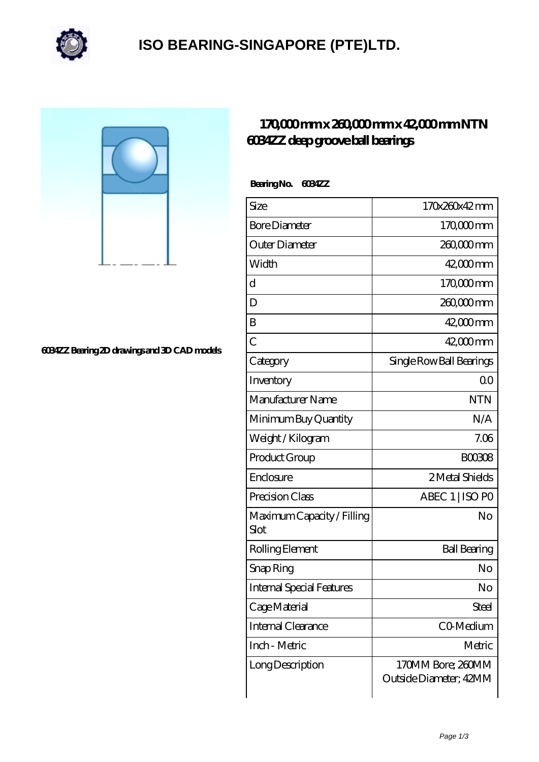

### **[ISO BEARING-SINGAPORE \(PTE\)LTD.](https://calvadosbnb.com)**

#### **[6034ZZ Bearing 2D drawings and 3D CAD models](https://calvadosbnb.com/pic-65129329.html)**

### **[170,000 mm x 260,000 mm x 42,000 mm NTN](https://calvadosbnb.com/ntn-6034zz-bearing/) [6034ZZ deep groove ball bearings](https://calvadosbnb.com/ntn-6034zz-bearing/)**

 **Bearing No. 6034ZZ**

| Size                               | 170x260x42mm                                |
|------------------------------------|---------------------------------------------|
| <b>Bore Diameter</b>               | 170,000 mm                                  |
| Outer Diameter                     | 260,000 mm                                  |
| Width                              | 42,000mm                                    |
| $\mathbf d$                        | 170,000 mm                                  |
| D                                  | 260,000 mm                                  |
| B                                  | 42,000 mm                                   |
| $\overline{C}$                     | $42,000$ mm                                 |
| Category                           | Single Row Ball Bearings                    |
| Inventory                          | 0 <sup>0</sup>                              |
| Manufacturer Name                  | <b>NTN</b>                                  |
| Minimum Buy Quantity               | N/A                                         |
| Weight / Kilogram                  | 7.06                                        |
| Product Group                      | <b>BOO3O8</b>                               |
| Enclosure                          | 2 Metal Shields                             |
| Precision Class                    | ABEC 1   ISO PO                             |
| Maximum Capacity / Filling<br>Slot | No                                          |
| Rolling Element                    | <b>Ball Bearing</b>                         |
| Snap Ring                          | No                                          |
| <b>Internal Special Features</b>   | No                                          |
| Cage Material                      | <b>Steel</b>                                |
| Internal Clearance                 | CO-Medium                                   |
| Inch - Metric                      | Metric                                      |
| Long Description                   | 170MM Bore; 260MM<br>Outside Diameter; 42MM |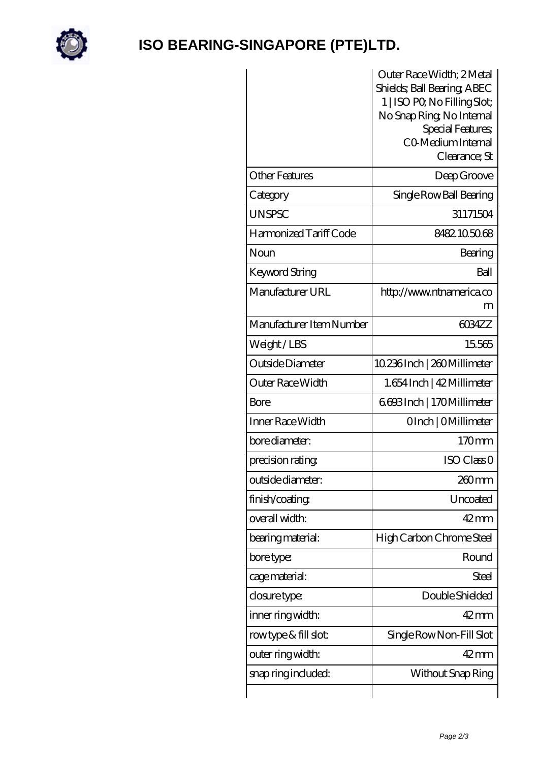

# **[ISO BEARING-SINGAPORE \(PTE\)LTD.](https://calvadosbnb.com)**

|                           | Outer Race Width; 2 Metal<br>Shields, Ball Bearing, ABEC<br>1   ISO PO, No Filling Slot;<br>No Snap Ring, No Internal<br>Special Features;<br>CO Medium Internal |
|---------------------------|------------------------------------------------------------------------------------------------------------------------------------------------------------------|
| <b>Other Features</b>     | Clearance; St                                                                                                                                                    |
|                           | Deep Groove                                                                                                                                                      |
| Category<br><b>UNSPSC</b> | Single Row Ball Bearing<br>31171504                                                                                                                              |
|                           |                                                                                                                                                                  |
| Harmonized Tariff Code    | 8482105068                                                                                                                                                       |
| Noun                      | Bearing                                                                                                                                                          |
| Keyword String            | Ball                                                                                                                                                             |
| Manufacturer URL          | http://www.ntnamerica.co<br>m                                                                                                                                    |
| Manufacturer Item Number  | 6034ZZ                                                                                                                                                           |
| Weight/LBS                | 15565                                                                                                                                                            |
| Outside Diameter          | 10.236Inch   260Millimeter                                                                                                                                       |
| <b>Outer Race Width</b>   | 1.654 Inch   42 Millimeter                                                                                                                                       |
| Bore                      | 6693Inch   170Millimeter                                                                                                                                         |
| Inner Race Width          | OInch   OMillimeter                                                                                                                                              |
| bore diameter:            | 170mm                                                                                                                                                            |
| precision rating          | ISO Class <sub>0</sub>                                                                                                                                           |
| outside diameter:         | 260 <sub>mm</sub>                                                                                                                                                |
| finish/coating            | Uncoated                                                                                                                                                         |
| overall width:            | $42 \text{mm}$                                                                                                                                                   |
| bearing material:         | High Carbon Chrome Steel                                                                                                                                         |
| bore type:                | Round                                                                                                                                                            |
| cage material:            | Steel                                                                                                                                                            |
| closure type:             | Double Shielded                                                                                                                                                  |
| inner ring width:         | $42 \,\mathrm{mm}$                                                                                                                                               |
| rowtype & fill slot:      | Single Row Non-Fill Slot                                                                                                                                         |
| outer ring width:         | $42$ mm                                                                                                                                                          |
| snap ring included:       | Without Snap Ring                                                                                                                                                |
|                           |                                                                                                                                                                  |